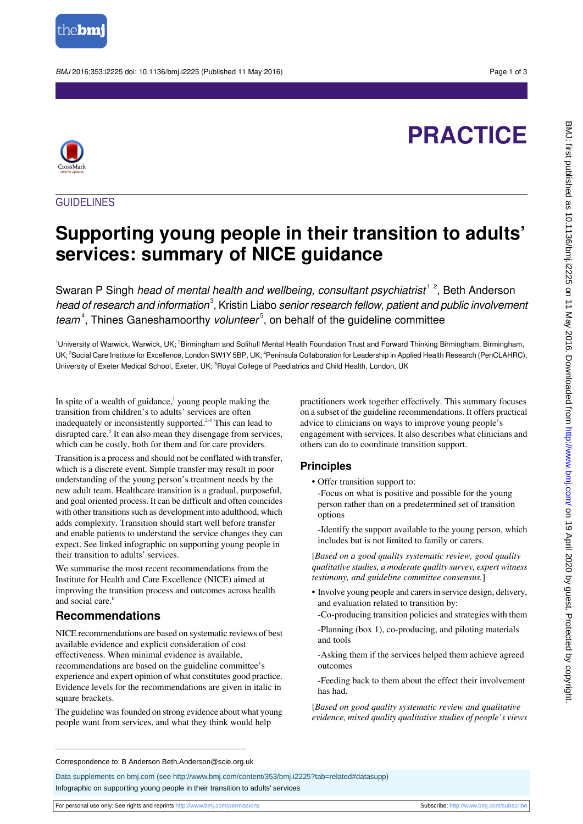

BMJ 2016;353:i2225 doi: 10.1136/bmj.i2225 (Published 11 May 2016) Page 1 of 3

# **PRACTICE**



**GUIDELINES** 

# **Supporting young people in their transition to adults' services: summary of NICE guidance**

Swaran P Singh head of mental health and wellbeing, consultant psychiatrist<sup>12</sup>. Beth Anderson head of research and information $^3$ , Kristin Liabo senior research fellow, patient and public involvement team<sup>4</sup>, Thines Ganeshamoorthy *volunteer*<sup>5</sup>, on behalf of the guideline committee

<sup>1</sup>University of Warwick, Warwick, UK; <sup>2</sup>Birmingham and Solihull Mental Health Foundation Trust and Forward Thinking Birmingham, Birmingham, UK; <sup>3</sup>Social Care Institute for Excellence, London SW1Y 5BP, UK; <sup>4</sup>Peninsula Collaboration for Leadership in Applied Health Research (PenCLAHRC), University of Exeter Medical School, Exeter, UK; <sup>5</sup>Royal College of Paediatrics and Child Health, London, UK

In spite of a wealth of guidance,<sup>1</sup> young people making the transition from children's to adults' services are often inadequately or inconsistently supported.<sup>24</sup> This can lead to disrupted care.<sup>5</sup> It can also mean they disengage from services, which can be costly, both for them and for care providers.

Transition is a process and should not be conflated with transfer, which is a discrete event. Simple transfer may result in poor understanding of the young person's treatment needs by the new adult team. Healthcare transition is a gradual, purposeful, and goal oriented process. It can be difficult and often coincides with other transitions such as development into adulthood, which adds complexity. Transition should start well before transfer and enable patients to understand the service changes they can expect. See linked infographic on supporting young people in their transition to adults' services.

We summarise the most recent recommendations from the Institute for Health and Care Excellence (NICE) aimed at improving the transition process and outcomes across health and social care.<sup>6</sup>

# **Recommendations**

NICE recommendations are based on systematic reviews of best available evidence and explicit consideration of cost effectiveness. When minimal evidence is available, recommendations are based on the guideline committee's experience and expert opinion of what constitutes good practice. Evidence levels for the recommendations are given in italic in square brackets.

The guideline was founded on strong evidence about what young people want from services, and what they think would help

practitioners work together effectively. This summary focuses on a subset of the guideline recommendations. It offers practical advice to clinicians on ways to improve young people's engagement with services. It also describes what clinicians and others can do to coordinate transition support.

# **Principles**

- **•** Offer transition support to:
	- -Focus on what is positive and possible for the young person rather than on a predetermined set of transition options

-Identify the support available to the young person, which includes but is not limited to family or carers.

[*Based on a good quality systematic review, good quality qualitative studies, a moderate quality survey, expert witness testimony, and guideline committee consensus.*]

- **•** Involve young people and carers in service design, delivery, and evaluation related to transition by:
	- -Co-producing transition policies and strategies with them

-Planning (box 1), co-producing, and piloting materials and tools

-Asking them if the services helped them achieve agreed outcomes

-Feeding back to them about the effect their involvement has had.

[*Based on good quality systematic review and qualitative evidence, mixed quality qualitative studies of people's views*

Correspondence to: B Anderson Beth.Anderson@scie.org.uk

Data supplements on bmj.com (see <http://www.bmj.com/content/353/bmj.i2225?tab=related#datasupp>)

Infographic on supporting young people in their transition to adults' services

For personal use only: See rights and reprints<http://www.bmj.com/permissions> Subscribe: <http://www.bmj.com/subscribe>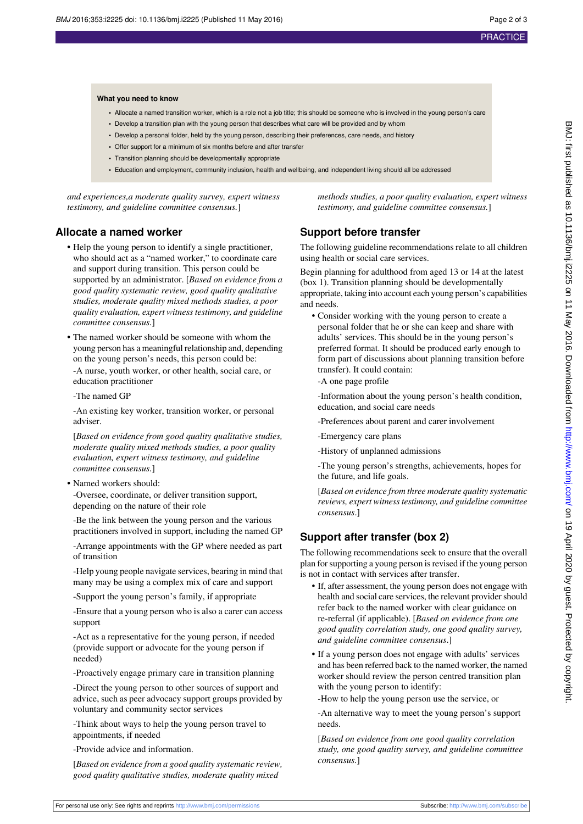#### **What you need to know**

- **•** Allocate a named transition worker, which is a role not a job title; this should be someone who is involved in the young person's care
- **•** Develop a transition plan with the young person that describes what care will be provided and by whom
- **•** Develop a personal folder, held by the young person, describing their preferences, care needs, and history
- **•** Offer support for a minimum of six months before and after transfer
- **•** Transition planning should be developmentally appropriate
- **•** Education and employment, community inclusion, health and wellbeing, and independent living should all be addressed

*and experiences,a moderate quality survey, expert witness testimony, and guideline committee consensus.*]

*methods studies, a poor quality evaluation, expert witness testimony, and guideline committee consensus.*]

# **Allocate a named worker**

**•** Help the young person to identify a single practitioner, who should act as a "named worker," to coordinate care and support during transition. This person could be supported by an administrator. [*Based on evidence from a good quality systematic review, good quality qualitative studies, moderate quality mixed methods studies, a poor quality evaluation, expert witness testimony, and guideline committee consensus.*]

**•** The named worker should be someone with whom the young person has a meaningful relationship and, depending on the young person's needs, this person could be: -A nurse, youth worker, or other health, social care, or education practitioner

-The named GP

-An existing key worker, transition worker, or personal adviser.

[*Based on evidence from good quality qualitative studies, moderate quality mixed methods studies, a poor quality evaluation, expert witness testimony, and guideline committee consensus.*]

**•** Named workers should: -Oversee, coordinate, or deliver transition support, depending on the nature of their role

-Be the link between the young person and the various practitioners involved in support, including the named GP

-Arrange appointments with the GP where needed as part of transition

-Help young people navigate services, bearing in mind that many may be using a complex mix of care and support

-Support the young person's family, if appropriate

-Ensure that a young person who is also a carer can access support

-Act as a representative for the young person, if needed (provide support or advocate for the young person if needed)

-Proactively engage primary care in transition planning

-Direct the young person to other sources of support and advice, such as peer advocacy support groups provided by voluntary and community sector services

-Think about ways to help the young person travel to appointments, if needed

-Provide advice and information.

[*Based on evidence from a good quality systematic review, good quality qualitative studies, moderate quality mixed*

# **Support before transfer**

The following guideline recommendations relate to all children using health or social care services.

Begin planning for adulthood from aged 13 or 14 at the latest (box 1). Transition planning should be developmentally appropriate, taking into account each young person's capabilities and needs.

**•** Consider working with the young person to create a personal folder that he or she can keep and share with adults' services. This should be in the young person's preferred format. It should be produced early enough to form part of discussions about planning transition before transfer). It could contain:

-A one page profile

-Information about the young person's health condition, education, and social care needs

-Preferences about parent and carer involvement

-Emergency care plans

-History of unplanned admissions

-The young person's strengths, achievements, hopes for the future, and life goals.

[*Based on evidence from three moderate quality systematic reviews, expert witness testimony, and guideline committee consensus*.]

# **Support after transfer (box 2)**

The following recommendations seek to ensure that the overall plan for supporting a young person is revised if the young person is not in contact with services after transfer.

- **•** If, after assessment, the young person does not engage with health and social care services, the relevant provider should refer back to the named worker with clear guidance on re-referral (if applicable). [*Based on evidence from one good quality correlation study, one good quality survey, and guideline committee consensus*.]
- **•** If a young person does not engage with adults' services and has been referred back to the named worker, the named worker should review the person centred transition plan with the young person to identify:

-How to help the young person use the service, or

-An alternative way to meet the young person's support needs.

[*Based on evidence from one good quality correlation study, one good quality survey, and guideline committee consensus.*]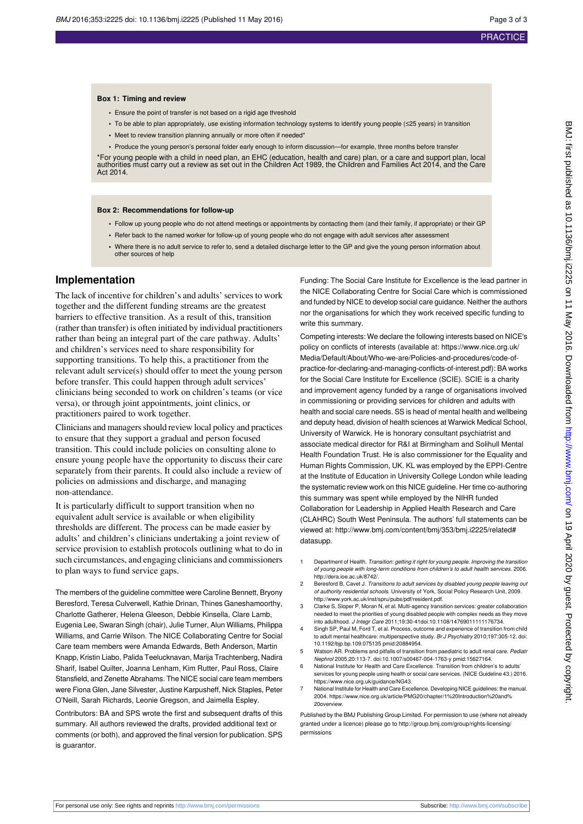#### **Box 1: Timing and review**

- **•** Ensure the point of transfer is not based on a rigid age threshold
- **•** To be able to plan appropriately, use existing information technology systems to identify young people (≤25 years) in transition
- **•** Meet to review transition planning annually or more often if needed\*
- **•** Produce the young person's personal folder early enough to inform discussion—for example, three months before transfer

\*For young people with a child in need plan, an EHC (education, health and care) plan, or a care and support plan, local authorities must carry out a review as set out in the Children Act 1989, the Children and Families Act 2014, and the Care Act 2014.

#### **Box 2: Recommendations for follow-up**

- **•** Follow up young people who do not attend meetings or appointments by contacting them (and their family, if appropriate) or their GP
- **•** Refer back to the named worker for follow-up of young people who do not engage with adult services after assessment
- **•** Where there is no adult service to refer to, send a detailed discharge letter to the GP and give the young person information about other sources of help

### **Implementation**

The lack of incentive for children's and adults' services to work together and the different funding streams are the greatest barriers to effective transition. As a result of this, transition (rather than transfer) is often initiated by individual practitioners rather than being an integral part of the care pathway. Adults' and children's services need to share responsibility for supporting transitions. To help this, a practitioner from the relevant adult service(s) should offer to meet the young person before transfer. This could happen through adult services' clinicians being seconded to work on children's teams (or vice versa), or through joint appointments, joint clinics, or practitioners paired to work together.

Clinicians and managers should review local policy and practices to ensure that they support a gradual and person focused transition. This could include policies on consulting alone to ensure young people have the opportunity to discuss their care separately from their parents. It could also include a review of policies on admissions and discharge, and managing non-attendance.

It is particularly difficult to support transition when no equivalent adult service is available or when eligibility thresholds are different. The process can be made easier by adults' and children's clinicians undertaking a joint review of service provision to establish protocols outlining what to do in such circumstances, and engaging clinicians and commissioners to plan ways to fund service gaps.

The members of the guideline committee were Caroline Bennett, Bryony Beresford, Teresa Culverwell, Kathie Drinan, Thines Ganeshamoorthy, Charlotte Gatherer, Helena Gleeson, Debbie Kinsella, Clare Lamb, Eugenia Lee, Swaran Singh (chair), Julie Turner, Alun Williams, Philippa Williams, and Carrie Wilson. The NICE Collaborating Centre for Social Care team members were Amanda Edwards, Beth Anderson, Martin Knapp, Kristin Liabo, Palida Teelucknavan, Marija Trachtenberg, Nadira Sharif, Isabel Quilter, Joanna Lenham, Kim Rutter, Paul Ross, Claire Stansfield, and Zenette Abrahams. The NICE social care team members were Fiona Glen, Jane Silvester, Justine Karpusheff, Nick Staples, Peter O'Neill, Sarah Richards, Leonie Gregson, and Jaimella Espley.

Contributors: BA and SPS wrote the first and subsequent drafts of this summary. All authors reviewed the drafts, provided additional text or comments (or both), and approved the final version for publication. SPS is guarantor.

Funding: The Social Care Institute for Excellence is the lead partner in the NICE Collaborating Centre for Social Care which is commissioned and funded by NICE to develop social care guidance. Neither the authors nor the organisations for which they work received specific funding to write this summary.

Competing interests: We declare the following interests based on NICE's policy on conflicts of interests (available at: https://www.nice.org.uk/ Media/Default/About/Who-we-are/Policies-and-procedures/code-ofpractice-for-declaring-and-managing-conflicts-of-interest.pdf): BA works for the Social Care Institute for Excellence (SCIE). SCIE is a charity and improvement agency funded by a range of organisations involved in commissioning or providing services for children and adults with health and social care needs. SS is head of mental health and wellbeing and deputy head, division of health sciences at Warwick Medical School, University of Warwick. He is honorary consultant psychiatrist and associate medical director for R&I at Birmingham and Solihull Mental Health Foundation Trust. He is also commissioner for the Equality and Human Rights Commission, UK. KL was employed by the EPPI-Centre at the Institute of Education in University College London while leading the systematic review work on this NICE guideline. Her time co-authoring this summary was spent while employed by the NIHR funded Collaboration for Leadership in Applied Health Research and Care (CLAHRC) South West Peninsula. The authors' full statements can be viewed at: [http://www.bmj.com/content/bmj/353/bmj.i2225/related#](http://www.bmj.com/content/bmj/353/bmj.i2225/related#datasupp) [datasupp.](http://www.bmj.com/content/bmj/353/bmj.i2225/related#datasupp)

- 1 Department of Health. Transition: getting it right for young people. Improving the transition of young people with long-term conditions from children's to adult health services. 2006. [http://dera.ioe.ac.uk/8742/.](http://dera.ioe.ac.uk/8742/)
- 2 Beresford B, Cavet J. Transitions to adult services by disabled young people leaving out of authority residential schools. University of York, Social Policy Research Unit, 2009. <http://www.york.ac.uk/inst/spru/pubs/pdf/resident.pdf>.
- 3 Clarke S, Sloper P, Moran N, et al. Multi-agency transition services: greater collaboration needed to meet the priorities of young disabled people with complex needs as they move into adulthood. J Integr Care 2011;19:30-41[doi:10.1108/14769011111176734.](http://dx.doi.org/doi:10.1108/14769011111176734)
- Singh SP, Paul M, Ford T, et al. Process, outcome and experience of transition from child to adult mental healthcare: multiperspective study. Br J Psychiatry 2010;197:305-12. [doi:](http://dx.doi.org/doi:10.1192/bjp.bp.109.075135) [10.1192/bjp.bp.109.075135](http://dx.doi.org/doi:10.1192/bjp.bp.109.075135) [pmid:20884954.](http://www.ncbi.nlm.nih.gov/pubmed/?term=20884954)
- 5 Watson AR. Problems and pitfalls of transition from paediatric to adult renal care. Pediatr Nephrol 2005;20:113-7. [doi:10.1007/s00467-004-1763-y](http://dx.doi.org/doi:10.1007/s00467-004-1763-y) [pmid:15627164.](http://www.ncbi.nlm.nih.gov/pubmed/?term=15627164)
- 6 National Institute for Health and Care Excellence. Transition from children's to adults' services for young people using health or social care services. (NICE Guideline 43.) 2016. https://www.nice.org.uk/guidance/NG43.
- National Institute for Health and Care Excellence. Developing NICE guidelines: the manual. 2004. https://www.nice.org.uk/article/PMG20/chapter/1%20Introduction%20and% 20overview.

Published by the BMJ Publishing Group Limited. For permission to use (where not already granted under a licence) please go to [http://group.bmj.com/group/rights-licensing/](http://group.bmj.com/group/rights-licensing/permissions) [permissions](http://group.bmj.com/group/rights-licensing/permissions)